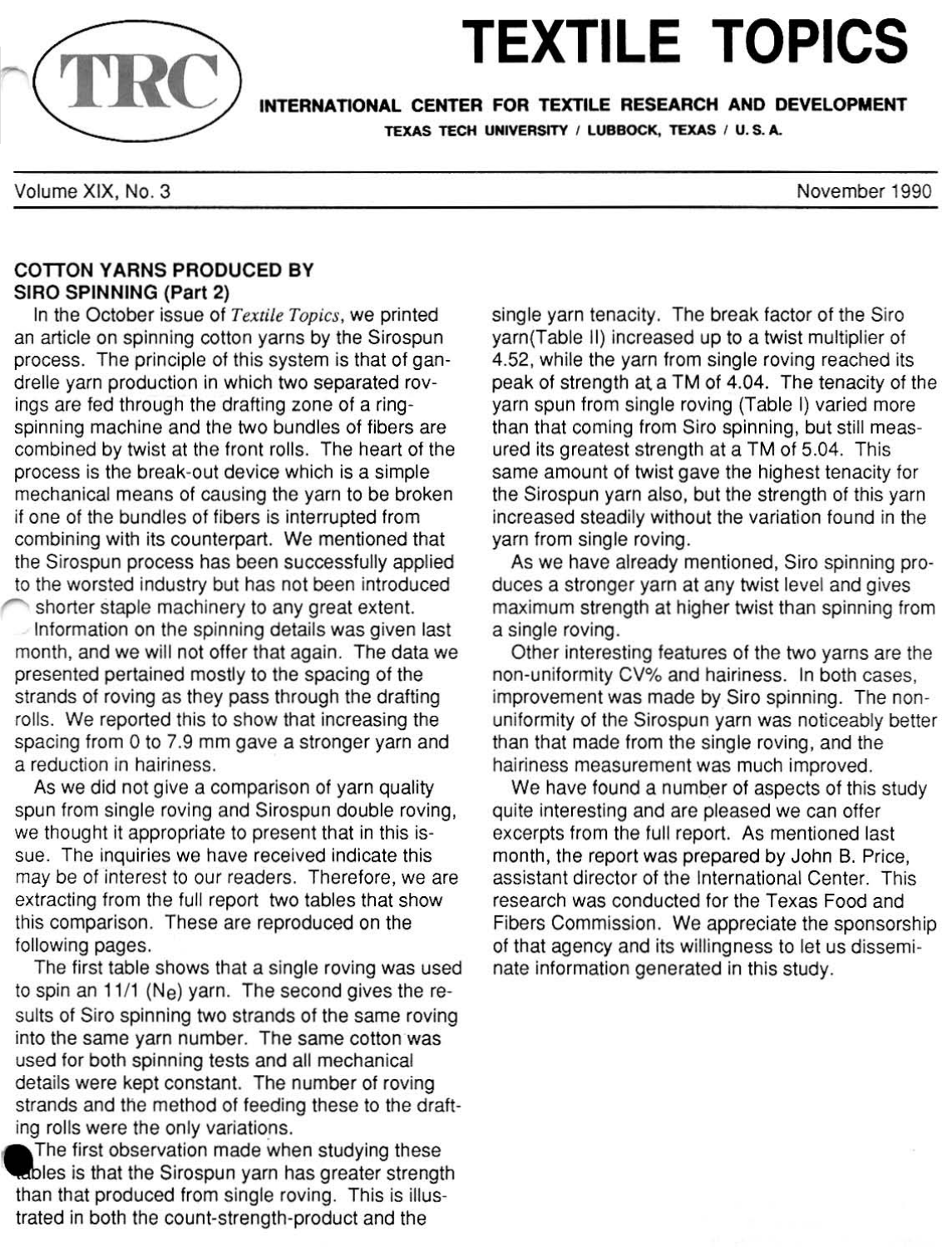

# **TEXTILE TOPICS**<br>INTERNATIONAL CENTER FOR TEXTILE RESEARCH AND DEVELOPMENT

TEXAS TECH UNIVERSITY / LUBBOCK, TEXAS / U.S.A.

November 1990

Volume XIX, NO. 3

# **COTTON YARNS PRODUCED BY** SIRO SPINNING (Part 2)

In the October issue of *Textile Topics,* we printed an article on spinning cotton yarns by the Sirospun process. The principle of this system is that of gandrelle yarn production in which two separated rovings are fed through the drafting zone of a ringspinning machine and the two bundles of fibers are combined by twist at the front rolls. The heart of the process is the break-out device which is a simple mechanical means of causing the yarn to be broken if one of the bundles of fibers is interrupted from combining with its counterpart. We mentioned that the Sirospun process has been successfully applied to the worsted industry but has not been introduced

shorter staple machinery to any great extent. Information on the spinning details was given last month, and we will not offer that again. The data we presented pertained mostly to the spacing of the strands of roving as they pass through the drafting rolls. We reported this to show that increasing the spacing from 0 to 7.9 mm gave a stronger yarn and a reduction in hairiness.

As we did not give a comparison of yarn quality spun from single roving and Sirospun double roving, we thought it appropriate to present that in this issue. The inquiries we have received indicate this may be of interest to our readers. Therefore, we are extracting from the full report two tables that show this comparison. These are reproduced on the following pages.

The first table shows that a single roving was used to spin an 11/1 ( $N_e$ ) yarn. The second gives the results of Siro spinning two strands of the same roving into the same yarn number. The same cotton was used for both spinning tests and all mechanical details were kept constant. The number of roving strands and the method of feeding these to the drafting rolls were the only variations.

The first observation made when studying these ables is that the Sirospun yarn has greater strength than that produced from single roving. This is illustrated in both the count-strength-product and the

single yarn tenacity. The break factor of the Siro yarn(Table II) increased up to a twist multiplier of 4.52, while the yarn from single roving reached its peak of strength at a TM of 4.04. The tenacity of the yarn spun from single roving (Table I) varied more than that coming from Siro spinning, but still measured its greatest strength at a TM of 5.04. This same amount of twist gave the highest tenacity for the Sirospun yarn also, but the strength of this yarn increased steadily without the variation found in the yarn from single roving.

As we have already mentioned, Siro spinning produces a stronger yarn at any twist level and gives maximum strength at higher twist than spinning from a single roving.

Other interesting features of the two yarns are the non-uniformity CV% and hairiness. In both cases, improvement was made by Siro spinning. The nonuniformity of the Sirospun yarn was noticeably better than that made from the single roving, and the hairiness measurement was much improved.

We have found a number of aspects of this study quite interesting and are pleased we can offer excerpts from the full report. As mentioned last month, the report was prepared by John B. Price, assistant director of the International Center. This research was conducted for the Texas Food and Fibers Commission. We appreciate the sponsorship of that agency and its willingness to let us disseminate information generated in this study.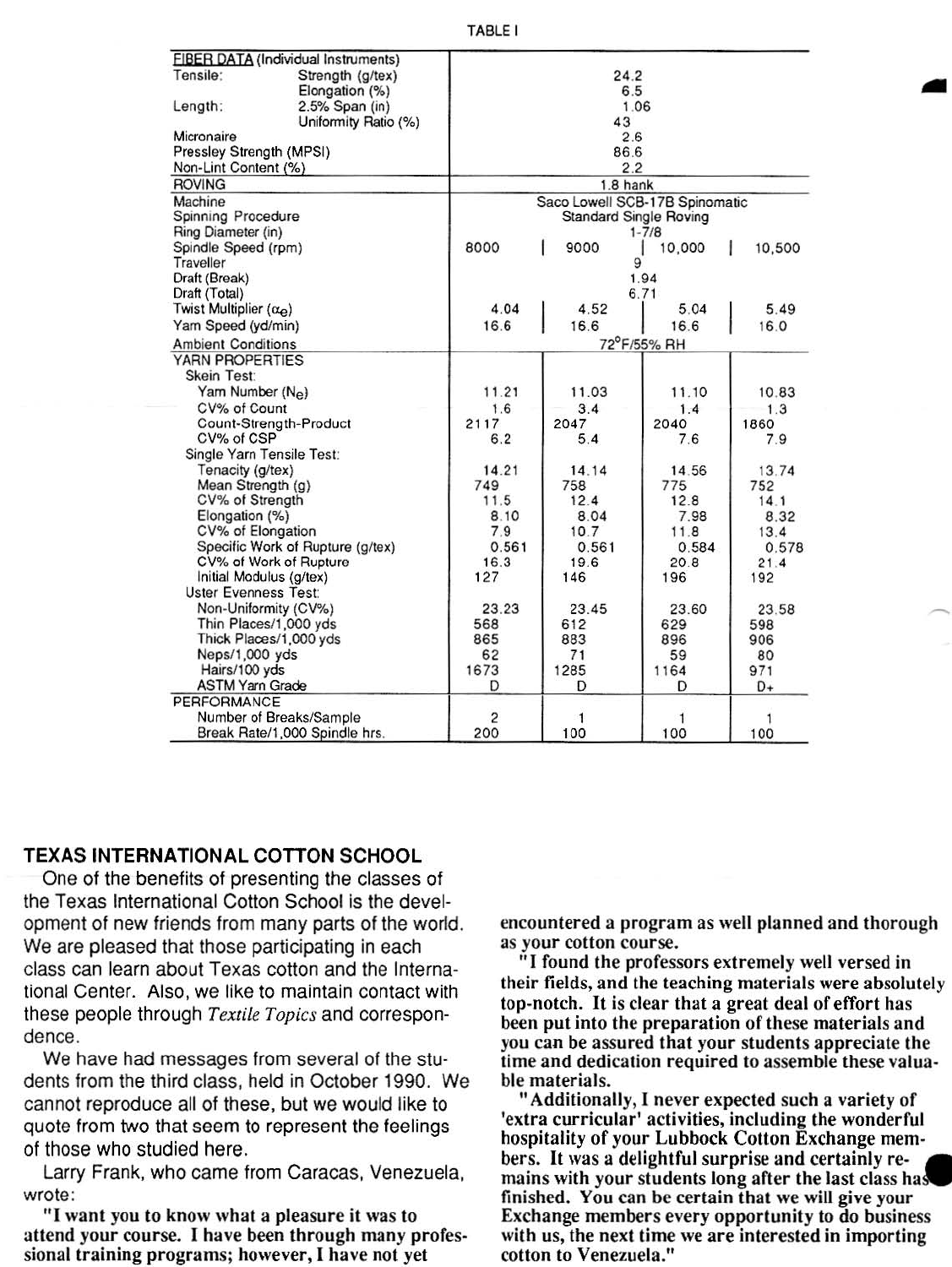| TABLE I |  |
|---------|--|
|---------|--|

| FIBER DATA (Individual Instruments)     |                                |       |           |        |  |  |
|-----------------------------------------|--------------------------------|-------|-----------|--------|--|--|
| Tensile:<br>Strength (g/tex)            | 24.2                           |       |           |        |  |  |
| Elongation (%)                          | 6.5                            |       |           |        |  |  |
| 2.5% Span (in)<br>Length:               | 1.06                           |       |           |        |  |  |
| Uniformity Ratio (%)                    | 43                             |       |           |        |  |  |
| Micronaire                              | 2.6                            |       |           |        |  |  |
| Pressley Strength (MPSI)                | 86.6                           |       |           |        |  |  |
| Non-Lint Content (%)                    | 2.2                            |       |           |        |  |  |
| <b>ROVING</b>                           | $1.8$ hank                     |       |           |        |  |  |
| Machine                                 | Saco Lowell SCB-17B Spinomatic |       |           |        |  |  |
| Spinning Procedure                      | <b>Standard Single Roving</b>  |       |           |        |  |  |
| Ring Diameter (in)                      | $1 - 7/8$                      |       |           |        |  |  |
| Spindle Speed (rpm)                     | 8000                           | 9000  | 10,000    | 10,500 |  |  |
| Traveller                               |                                | 9     |           |        |  |  |
| Draft (Break)                           | 1.94                           |       |           |        |  |  |
| Draft (Total)                           |                                |       | 6.71      |        |  |  |
| Twist Multiplier $(\alpha_e)$           | 4.04                           | 4.52  | 5.04      | 5.49   |  |  |
| Yam Speed (yd/min)                      | 16.6                           | 16.6  | 16.6      | 16.0   |  |  |
| <b>Ambient Conditions</b>               | 72°F/55% RH                    |       |           |        |  |  |
| YARN PROPERTIES                         |                                |       |           |        |  |  |
| Skein Test:                             |                                |       |           |        |  |  |
| Yam Number (Ne)                         | 11.21                          | 11.03 | 11.10     | 10.83  |  |  |
| CV% of Count                            | 1.6                            | 3.4   | 1.4       | 1.3    |  |  |
| Count-Strength-Product                  | 2117                           | 2047  | 2040      | 1860   |  |  |
| CV% of CSP                              | 6.2                            | 5.4   | 7.6       | 7.9    |  |  |
| Single Yarn Tensile Test:               |                                |       |           |        |  |  |
| Tenacity (g/tex)                        | 14.21                          | 14.14 | 14.56     | 13.74  |  |  |
| Mean Strength (g)                       | 749                            | 758   | 775       | 752    |  |  |
| CV% of Strength                         | 11.5                           | 12.4  | 12.8      | 14.1   |  |  |
| Elongation (%)                          | 8.10                           | 8.04  | 7.98      | 8.32   |  |  |
| CV% of Elongation                       | 7.9                            | 10.7  | 11.8      | 13.4   |  |  |
| Specific Work of Rupture (g/tex)        | 0.561                          | 0.561 | 0.584     | 0.578  |  |  |
| CV% of Work of Rupture                  | 16.3                           | 19.6  | 20.8      | 21.4   |  |  |
| Initial Modulus (g/tex)                 | 127                            | 146   | 196       | 192    |  |  |
| <b>Uster Evenness Test:</b>             |                                |       |           |        |  |  |
| Non-Uniformity (CV%)                    | 23.23                          | 23.45 | 23.60     | 23.58  |  |  |
| Thin Places/1,000 yds                   | 568                            | 612   | 629       | 598    |  |  |
| Thick Places/1,000 yds                  | 865                            | 883   |           |        |  |  |
| Neps/1,000 yds                          | 62                             | 71    | 896<br>59 | 906    |  |  |
|                                         | 1673                           | 1285  |           | 80     |  |  |
| Hairs/100 yds<br><b>ASTM Yarn Grade</b> | D                              | D     | 1164<br>D | 971    |  |  |
|                                         |                                |       |           | D+     |  |  |
| PERFORMANCE                             |                                |       |           |        |  |  |
| Number of Breaks/Sample                 | 2                              | 1     |           |        |  |  |
| Break Rate/1,000 Spindle hrs.           | 200                            | 100   | 100       | 100    |  |  |

### TEXAS INTERNATIONAL COTTON SCHOOL

One of the benefits of presenting the classes of the Texas International Cotton School is the development of new friends from many parts of the world. We are pleased that those participating in each class can learn about Texas cotton and the International Center. Also, we like to maintain contact with these people through *Textile Topics* and correspondence.

We have had messages from several of the students from the third class, held in October 1990. We cannot reproduce all of these, but we would like to quote from two that seem to represent the feelings of those who studied here.

Larry Frank, who came from Caracas, Venezuela, wrote:

"I want you to know what a pleasure it was 10 attend your course. I have been through many professional training programs; however, I have not yet

encountered a program as well planned and thorough

"I found the professors extremely well versed in their fields, and the teaching materials were absolutely top-notch. It is clear that a great deal of effort has been put into the preparation of these materials and you can be assured that your students appreciate the time and dedication required to assemble these valua- ble materials.

"Additionally, I never expected such a variety of 'extra curricular' activities, including the wonderful hospitality of your Lubbock Cotton Exchange members. It was a delightful surprise and certainly re- • mains with your students long after the last class ha finished. You can be certain that we will give your Exchange members every opportunity to do business with us, the next time we are interested in importing cotton to Venezuela."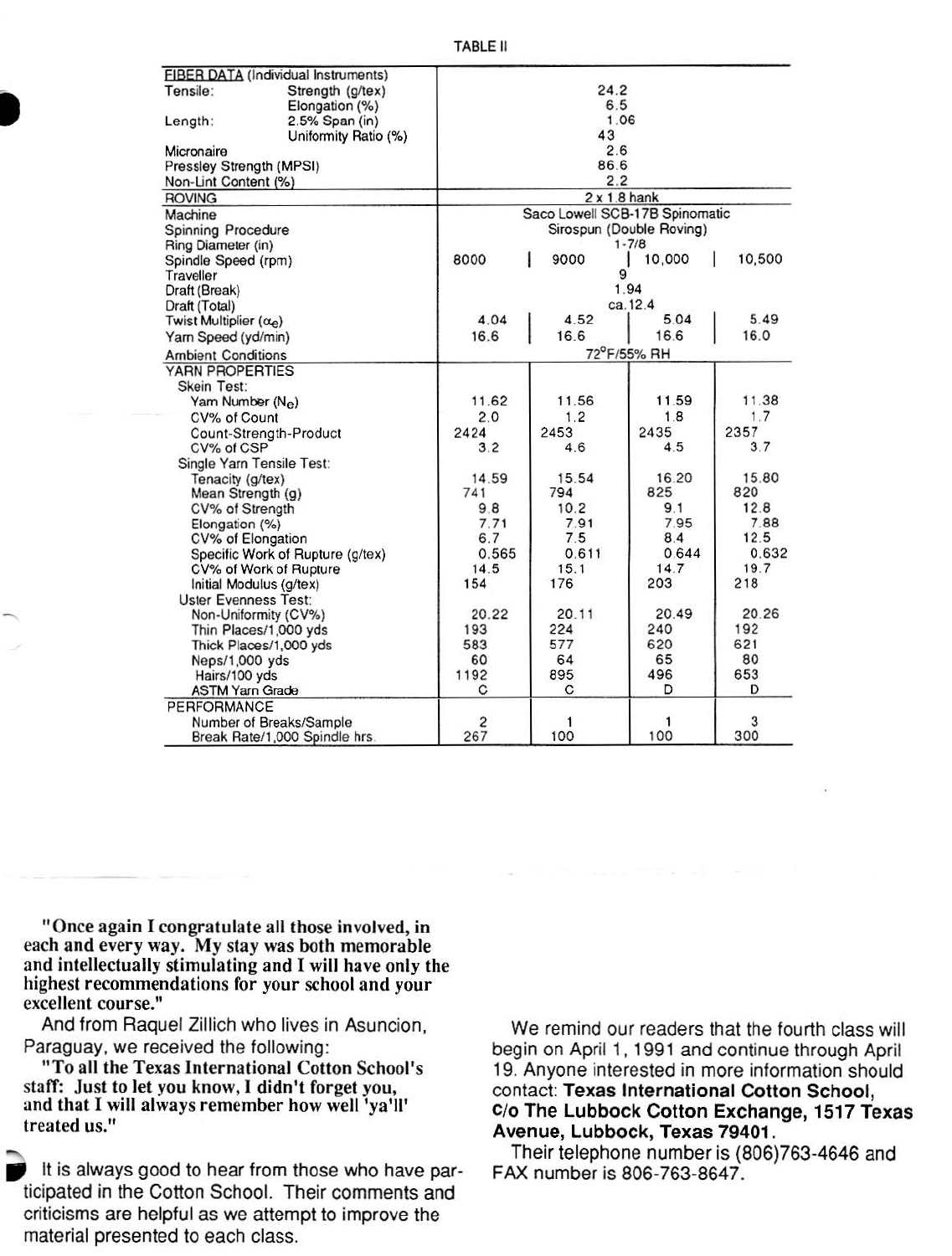| FIBER DATA (Individual Instruments)  |                                |                          |         |        |  |  |
|--------------------------------------|--------------------------------|--------------------------|---------|--------|--|--|
| Tensile:<br>Strength (g/tex)         |                                | 24.2                     |         |        |  |  |
| Elongation (%)                       |                                | 6.5                      |         |        |  |  |
| Length:<br>2.5% Span (in)            |                                | 1.06                     |         |        |  |  |
| Uniformity Ratio (%)                 |                                | 43                       |         |        |  |  |
| Micronaire                           |                                | 2.6                      |         |        |  |  |
| Pressley Strength (MPSI)             |                                | 86.6                     |         |        |  |  |
| Non-Lint Content (%)                 | 2.2                            |                          |         |        |  |  |
| <b>ROVING</b>                        | $2 \times 1.8$ hank            |                          |         |        |  |  |
| Machine                              | Saco Lowell SCB-17B Spinomatic |                          |         |        |  |  |
| <b>Spinning Procedure</b>            |                                | Sirospun (Double Roving) |         |        |  |  |
| Ring Diameter (in)                   |                                | $1 - 7/8$                |         |        |  |  |
| Spindle Speed (rpm)                  | 8000                           | 9000                     | 10,000  | 10,500 |  |  |
| Traveller                            |                                | 9                        |         |        |  |  |
| Draft (Break)                        |                                | 1.94                     |         |        |  |  |
| Draft (Total)                        |                                |                          | ca.12.4 |        |  |  |
| Twist Multiplier $(\alpha_{\Theta})$ | 4.04                           | 4.52                     | 5.04    | 5.49   |  |  |
| Yam Speed (yd/min)                   | 16.6                           | 16.6                     | 16.6    | 16.0   |  |  |
| <b>Ambient Conditions</b>            |                                | 72°F/55% RH              |         |        |  |  |
| YARN PROPERTIES                      |                                |                          |         |        |  |  |
| Skein Test:                          |                                |                          |         |        |  |  |
| Yam Number (Ne)                      | 11.62                          | 11.56                    | 11.59   | 11.38  |  |  |
| CV% of Count                         | 2.0                            | 1.2                      | 1.8     | 1.7    |  |  |
| Count-Strength-Product               | 2424                           | 2453                     | 2435    | 2357   |  |  |
| CV% of CSP                           | 3.2                            | 4.6                      | 4.5     | 3.7    |  |  |
| Single Yarn Tensile Test:            |                                |                          |         |        |  |  |
| Tenacity (g/tex)                     | 14.59                          | 15.54                    | 16.20   | 15.80  |  |  |
| Mean Strength (g)                    | 741                            | 794                      | 825     | 820    |  |  |
| CV% of Strength                      | 9.8                            | 10.2                     | 9.1     | 12.8   |  |  |
| Elongation (%)                       | 7.71                           | 7.91                     | 7.95    | 7.88   |  |  |
| CV% of Elongation                    | 6.7                            | 7.5                      | 8.4     | 12.5   |  |  |
| Specific Work of Rupture (g/tex)     | 0.565                          | 0.611                    | 0.644   | 0.632  |  |  |
| CV% of Work of Rupture               | 14.5                           | 15.1                     | 14.7    | 19.7   |  |  |
| Initial Modulus (g/tex)              | 154                            | 176                      | 203     | 218    |  |  |
| <b>Uster Evenness Test:</b>          |                                |                          |         |        |  |  |
| Non-Uniformity (CV%)                 | 20.22                          | 20.11                    | 20.49   | 20.26  |  |  |
| Thin Places/1,000 yds                | 193                            | 224                      | 240     | 192    |  |  |
| Thick Places/1,000 yds               | 583                            | 577                      | 620     | 621    |  |  |
| Neps/1,000 yds                       | 60                             | 64                       | 65      | 80     |  |  |
| Hairs/100 yds                        | 1192                           | 895                      | 496     | 653    |  |  |
| <b>ASTM Yarn Grade</b>               | C                              | С                        | D       | D      |  |  |
| PERFORMANCE                          |                                |                          |         |        |  |  |
| Number of Breaks/Sample              | 2                              | 1                        |         | 3      |  |  |
| Break Rate/1,000 Spindle hrs         | 267                            | 100                      | 100     | 300    |  |  |

"Once again I congratulate all those involved, in each and every way. My stay was both memorable and intellectually stimulating and I will have only the highest recommendations for your school and your excellent course."

And from Raquel Zillich who lives in Asuncion, Paraguay, we received the following:

"To all the Texas International Cotton School's staff: Just to let you know, I didn't forget you, and that I will always remember how well 'ya'll' treated us."

It is always good to hear from those who have participated in the Cotton School. Their comments and criticisms are helpful as we attempt to improve the material presented to each class.

We remind our readers that the fourth class will begin on April 1, 1991 and continue through April 19. Anyone interested in more information should contact: Texas International Cotton School, C/o The Lubbock Cotton Exchange, 1517 Texas Avenue, Lubbock, Texas 79401.

Their telephone number is (806)763-4646 and FAX number is 806-763-8647.